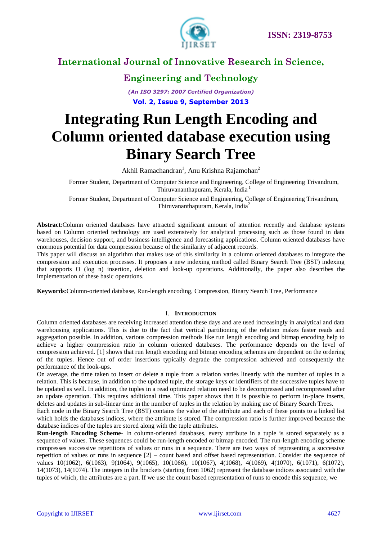

### **Engineering and Technology**

*(An ISO 3297: 2007 Certified Organization)* **Vol. 2, Issue 9, September 2013**

# **Integrating Run Length Encoding and Column oriented database execution using Binary Search Tree**

Akhil Ramachandran<sup>1</sup>, Anu Krishna Rajamohan<sup>2</sup>

Former Student, Department of Computer Science and Engineering, College of Engineering Trivandrum, Thiruvananthapuram, Kerala, India<sup>1</sup>

Former Student, Department of Computer Science and Engineering, College of Engineering Trivandrum, Thiruvananthapuram, Kerala, India<sup>2</sup>

**Abstract**:Column oriented databases have attracted significant amount of attention recently and database systems based on Column oriented technology are used extensively for analytical processing such as those found in data warehouses, decision support, and business intelligence and forecasting applications. Column oriented databases have enormous potential for data compression because of the similarity of adjacent records.

This paper will discuss an algorithm that makes use of this similarity in a column oriented databases to integrate the compression and execution processes. It proposes a new indexing method called Binary Search Tree (BST) indexing that supports O (log n) insertion, deletion and look-up operations. Additionally, the paper also describes the implementation of these basic operations.

**Keywords**:Column-oriented database, Run-length encoding, Compression, Binary Search Tree, Performance

#### I. **INTRODUCTION**

Column oriented databases are receiving increased attention these days and are used increasingly in analytical and data warehousing applications. This is due to the fact that vertical partitioning of the relation makes faster reads and aggregation possible. In addition, various compression methods like run length encoding and bitmap encoding help to achieve a higher compression ratio in column oriented databases. The performance depends on the level of compression achieved. [1] shows that run length encoding and bitmap encoding schemes are dependent on the ordering of the tuples. Hence out of order insertions typically degrade the compression achieved and consequently the performance of the look-ups.

On average, the time taken to insert or delete a tuple from a relation varies linearly with the number of tuples in a relation. This is because, in addition to the updated tuple, the storage keys or identifiers of the successive tuples have to be updated as well. In addition, the tuples in a read optimized relation need to be decompressed and recompressed after an update operation. This requires additional time. This paper shows that it is possible to perform in-place inserts, deletes and updates in sub-linear time in the number of tuples in the relation by making use of Binary Search Trees.

Each node in the Binary Search Tree (BST) contains the value of the attribute and each of these points to a linked list which holds the databases indices, where the attribute is stored. The compression ratio is further improved because the database indices of the tuples are stored along with the tuple attributes.

**Run-length Encoding Scheme**- In column-oriented databases, every attribute in a tuple is stored separately as a sequence of values. These sequences could be run-length encoded or bitmap encoded. The run-length encoding scheme compresses successive repetitions of values or runs in a sequence. There are two ways of representing a successive repetition of values or runs in sequence [2] – count based and offset based representation. Consider the sequence of values 10(1062), 6(1063), 9(1064), 9(1065), 10(1066), 10(1067), 4(1068), 4(1069), 4(1070), 6(1071), 6(1072), 14(1073), 14(1074). The integers in the brackets (starting from 1062) represent the database indices associated with the tuples of which, the attributes are a part. If we use the count based representation of runs to encode this sequence, we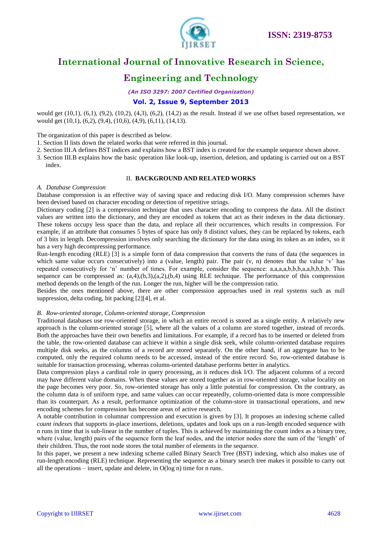

### **Engineering and Technology**

*(An ISO 3297: 2007 Certified Organization)*

#### **Vol. 2, Issue 9, September 2013**

would get  $(10,1)$ ,  $(6,1)$ ,  $(9,2)$ ,  $(10,2)$ ,  $(4,3)$ ,  $(6,2)$ ,  $(14,2)$  as the result. Instead if we use offset based representation, we would get (10,1), (6,2), (9,4), (10,6), (4,9), (6,11), (14,13).

The organization of this paper is described as below.

- 1. Section II lists down the related works that were referred in this journal.
- 2. Section III.A defines BST indices and explains how a BST index is created for the example sequence shown above.
- 3. Section III.B explains how the basic operation like look-up, insertion, deletion, and updating is carried out on a BST index.

#### II. **BACKGROUND AND RELATED WORKS**

#### *A. Database Compression*

Database compression is an effective way of saving space and reducing disk I/O. Many compression schemes have been devised based on character encoding or detection of repetitive strings.

Dictionary coding [2] is a compression technique that uses character encoding to compress the data. All the distinct values are written into the dictionary, and they are encoded as tokens that act as their indexes in the data dictionary. These tokens occupy less space than the data, and replace all their occurrences, which results in compression. For example, if an attribute that consumes 5 bytes of space has only 8 distinct values, they can be replaced by tokens, each of 3 bits in length. Decompression involves only searching the dictionary for the data using its token as an index, so it has a very high decompressing performance.

Run-length encoding (RLE) [3] is a simple form of data compression that converts the runs of data (the sequences in which same value occurs consecutively) into a (value, length) pair. The pair  $(v, n)$  denotes that the value 'v' has repeated consecutively for "n" number of times. For example, consider the sequence: a,a,a,a,b,b,b,a,a,b,b,b,b. This sequence can be compressed as:  $(a,4),(b,3),(a,2),(b,4)$  using RLE technique. The performance of this compression method depends on the length of the run. Longer the run, higher will be the compression ratio.

Besides the ones mentioned above, there are other compression approaches used in real systems such as null suppression, delta coding, bit packing [2][4], et al.

#### *B. Row-oriented storage, Column-oriented storage, Compression*

Traditional databases use row-oriented storage, in which an entire record is stored as a single entity. A relatively new approach is the column-oriented storage [5], where all the values of a column are stored together, instead of records. Both the approaches have their own benefits and limitations. For example, if a record has to be inserted or deleted from the table, the row-oriented database can achieve it within a single disk seek, while column-oriented database requires multiple disk seeks, as the columns of a record are stored separately. On the other hand, if an aggregate has to be computed, only the required column needs to be accessed, instead of the entire record. So, row-oriented database is suitable for transaction processing, whereas column-oriented database performs better in analytics.

Data compression plays a cardinal role in query processing, as it reduces disk I/O. The adjacent columns of a record may have different value domains. When these values are stored together as in row-oriented storage, value locality on the page becomes very poor. So, row-oriented storage has only a little potential for compression. On the contrary, as the column data is of uniform type, and same values can occur repeatedly, column-oriented data is more compressible than its counterpart. As a result, performance optimization of the column-store in transactional operations, and new encoding schemes for compression has become areas of active research.

A notable contribution in columnar compression and execution is given by [3]. It proposes an indexing scheme called *count indexes* that supports in-place insertions, deletions, updates and look ups on a run-length encoded sequence with n runs in time that is sub-linear in the number of tuples. This is achieved by maintaining the count index as a binary tree, where (value, length) pairs of the sequence form the leaf nodes, and the interior nodes store the sum of the 'length' of their children. Thus, the root node stores the total number of elements in the sequence.

In this paper, we present a new indexing scheme called Binary Search Tree (BST) indexing, which also makes use of run-length encoding (RLE) technique. Representing the sequence as a binary search tree makes it possible to carry out all the operations – insert, update and delete, in O(log n) time for n runs.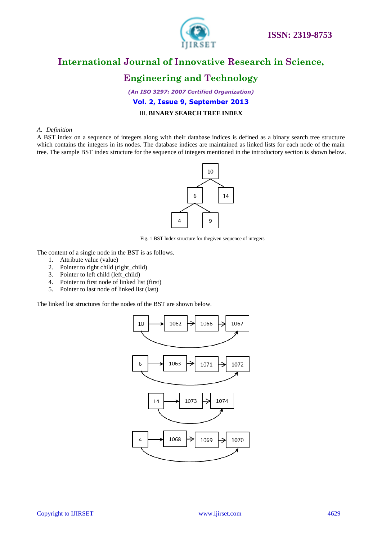

### **Engineering and Technology**

*(An ISO 3297: 2007 Certified Organization)* **Vol. 2, Issue 9, September 2013** III. **BINARY SEARCH TREE INDEX**

#### *A. Definition*

A BST index on a sequence of integers along with their database indices is defined as a binary search tree structure which contains the integers in its nodes. The database indices are maintained as linked lists for each node of the main tree. The sample BST index structure for the sequence of integers mentioned in the introductory section is shown below.



Fig. 1 BST Index structure for thegiven sequence of integers

The content of a single node in the BST is as follows.

- 1. Attribute value (value)
- 2. Pointer to right child (right\_child)
- 3. Pointer to left child (left\_child)
- 4. Pointer to first node of linked list (first)
- 5. Pointer to last node of linked list (last)

The linked list structures for the nodes of the BST are shown below.

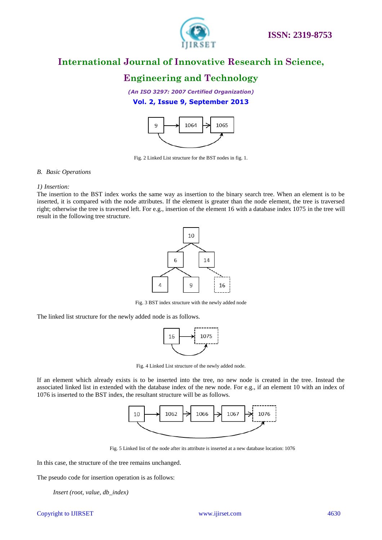

### **Engineering and Technology**

*(An ISO 3297: 2007 Certified Organization)* **Vol. 2, Issue 9, September 2013**



Fig. 2 Linked List structure for the BST nodes in fig. 1.

#### *B. Basic Operations*

#### *1) Insertion:*

The insertion to the BST index works the same way as insertion to the binary search tree. When an element is to be inserted, it is compared with the node attributes. If the element is greater than the node element, the tree is traversed right; otherwise the tree is traversed left. For e.g., insertion of the element 16 with a database index 1075 in the tree will result in the following tree structure.



Fig. 3 BST index structure with the newly added node

The linked list structure for the newly added node is as follows.



Fig. 4 Linked List structure of the newly added node.

If an element which already exists is to be inserted into the tree, no new node is created in the tree. Instead the associated linked list in extended with the database index of the new node. For e.g., if an element 10 with an index of 1076 is inserted to the BST index, the resultant structure will be as follows.



Fig. 5 Linked list of the node after its attribute is inserted at a new database location: 1076

In this case, the structure of the tree remains unchanged.

The pseudo code for insertion operation is as follows:

*Insert (root, value, db\_index)*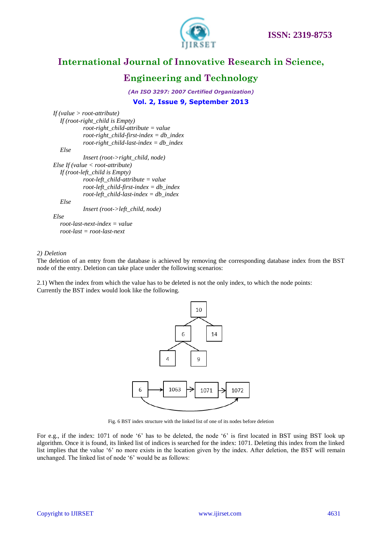



#### **Engineering and Technology**

*(An ISO 3297: 2007 Certified Organization)* **Vol. 2, Issue 9, September 2013**

*If (value > root-attribute) If (root-right\_child is Empty) root-right\_child-attribute = value root-right\_child-first-index = db\_index root-right\_child-last-index = db\_index Else Insert (root->right\_child, node) Else If (value < root-attribute) If (root-left\_child is Empty) root-left\_child-attribute = value root-left\_child-first-index = db\_index root-left\_child-last-index = db\_index Else Insert (root->left\_child, node) Else root-last-next-index = value root-last = root-last-next*

#### *2) Deletion*

The deletion of an entry from the database is achieved by removing the corresponding database index from the BST node of the entry. Deletion can take place under the following scenarios:

2.1) When the index from which the value has to be deleted is not the only index, to which the node points: Currently the BST index would look like the following.



Fig. 6 BST index structure with the linked list of one of its nodes before deletion

For e.g., if the index: 1071 of node '6' has to be deleted, the node '6' is first located in BST using BST look up algorithm. Once it is found, its linked list of indices is searched for the index: 1071. Deleting this index from the linked list implies that the value "6" no more exists in the location given by the index. After deletion, the BST will remain unchanged. The linked list of node '6' would be as follows: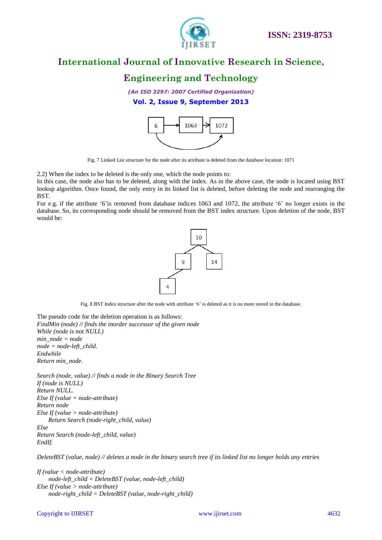

### **Engineering and Technology**

*(An ISO 3297: 2007 Certified Organization)*

**Vol. 2, Issue 9, September 2013**



Fig. 7 Linked List structure for the node after its attribute is deleted from the database location: 1071

2.2) When the index to be deleted is the only one, which the node points to:

In this case, the node also has to be deleted, along with the index. As in the above case, the node is located using BST lookup algorithm. Once found, the only entry in its linked list is deleted, before deleting the node and rearranging the BST.

For e.g. if the attribute '6' is removed from database indices 1063 and 1072, the attribute '6' no longer exists in the database. So, its corresponding node should be removed from the BST index structure. Upon deletion of the node, BST would be:



Fig. 8 BST Index structure after the node with attribute '6' is deleted as it is no more stored in the database.

The pseudo code for the deletion operation is as follows: *FindMin (node) // finds the inorder successor of the given node While (node is not NULL) min\_node = node node = node-left\_child. Endwhile Return min\_node.*

*Search (node, value) // finds a node in the Binary Search Tree If (node is NULL) Return NULL. Else If (value = node-attribute) Return node Else If (value > node-attribute) Return Search (node-right\_child, value) Else Return Search (node-left\_child, value) EndIf.*

*DeleteBST (value, node) // deletes a node in the binary search tree if its linked list no longer holds any entries*

*If (value < node-attribute) node-left\_child = DeleteBST (value, node-left\_child) Else If (value > node-attribute) node-right\_child = DeleteBST (value, node-right\_child)*

#### Copyright to IJIRSET [www.ijirset.com](http://www.ijirset.com/) 4632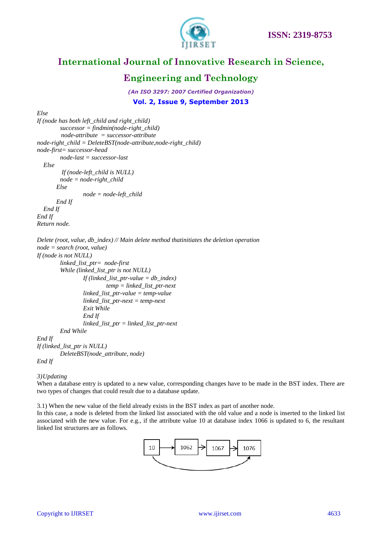

### **Engineering and Technology**

*(An ISO 3297: 2007 Certified Organization)* **Vol. 2, Issue 9, September 2013**

*Else*

```
If (node has both left_child and right_child)
         successor = findmin(node-right_child)
          node-attribute = successor-attribute
node-right_child = DeleteBST(node-attribute,node-right_child)
node-first= successor-head
         node-last = successor-last
   Else
         If (node-left_child is NULL)
         node = node-right_child
        Else
                 node = node-left_child
        End If 
   End If 
End If
Return node.
Delete (root, value, db_index) // Main delete method thatinitiates the deletion operation 
node = search (root, value)
If (node is not NULL)
         linked_list_ptr= node-first
         While (linked_list_ptr is not NULL)
                  If (linked_list_ptr-value = db_index)
                           temp = linked_list_ptr-next
                  linked_list_ptr-value = temp-value
                  linked_list_ptr-next = temp-next
                  Exit While
                  End If 
                  linked_list_ptr = linked_list_ptr-next
         End While
End If
If (linked_list_ptr is NULL)
         DeleteBST(node_attribute, node)
```
*End If*

*3)Updating*

When a database entry is updated to a new value, corresponding changes have to be made in the BST index. There are two types of changes that could result due to a database update.

3.1) When the new value of the field already exists in the BST index as part of another node.

In this case, a node is deleted from the linked list associated with the old value and a node is inserted to the linked list associated with the new value. For e.g., if the attribute value 10 at database index 1066 is updated to 6, the resultant linked list structures are as follows.

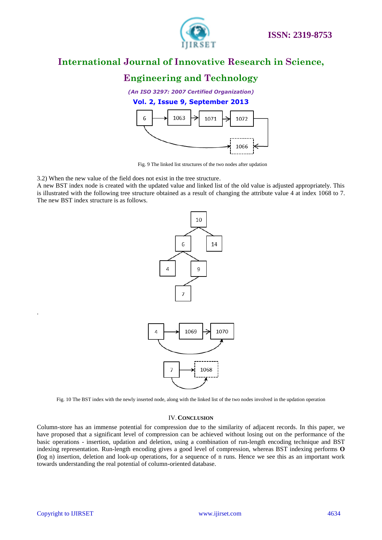

### **Engineering and Technology**

*(An ISO 3297: 2007 Certified Organization)*

#### **Vol. 2, Issue 9, September 2013**



Fig. 9 The linked list structures of the two nodes after updation

3.2) When the new value of the field does not exist in the tree structure.

A new BST index node is created with the updated value and linked list of the old value is adjusted appropriately. This is illustrated with the following tree structure obtained as a result of changing the attribute value 4 at index 1068 to 7. The new BST index structure is as follows.



Fig. 10 The BST index with the newly inserted node, along with the linked list of the two nodes involved in the updation operation

#### IV.**CONCLUSION**

Column-store has an immense potential for compression due to the similarity of adjacent records. In this paper, we have proposed that a significant level of compression can be achieved without losing out on the performance of the basic operations - insertion, updation and deletion, using a combination of run-length encoding technique and BST indexing representation. Run-length encoding gives a good level of compression, whereas BST indexing performs **O (**log n) insertion, deletion and look-up operations, for a sequence of n runs. Hence we see this as an important work towards understanding the real potential of column-oriented database.

.